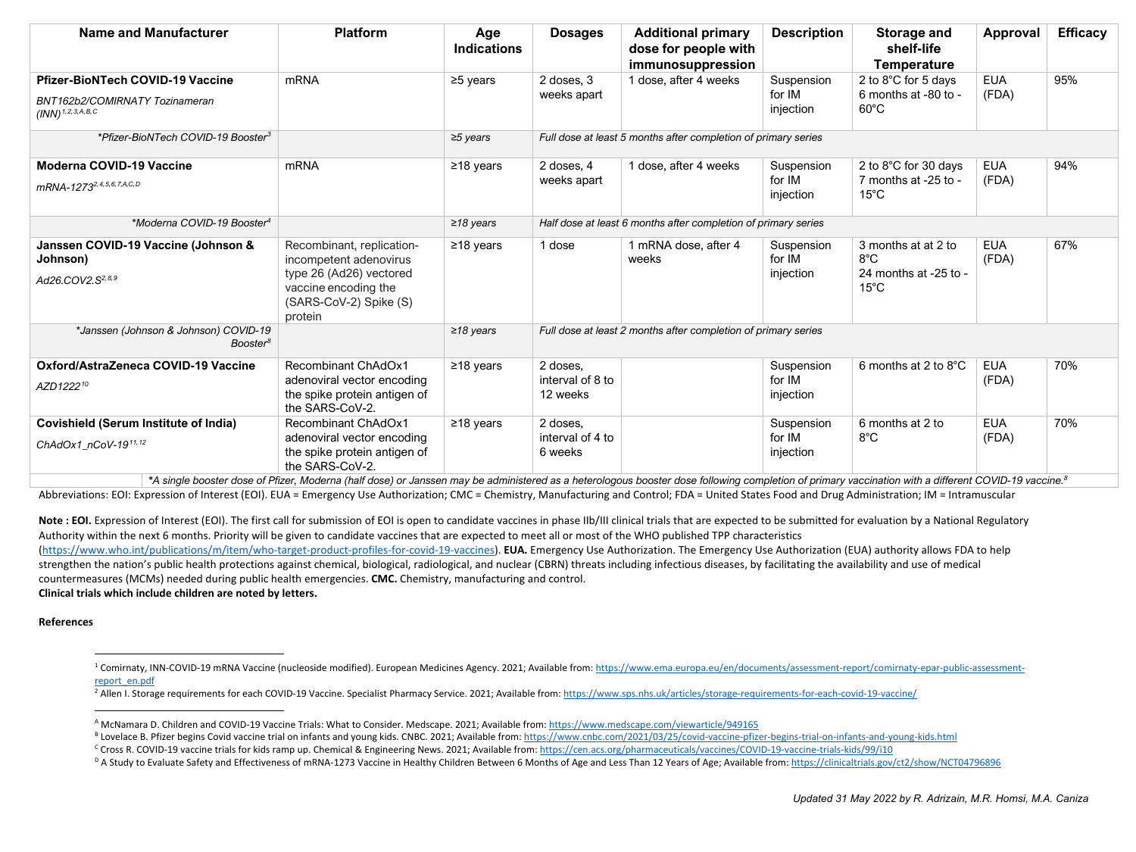<span id="page-0-5"></span><span id="page-0-4"></span><span id="page-0-3"></span><span id="page-0-2"></span><span id="page-0-1"></span><span id="page-0-0"></span>

| Name and Manufacturer                                                                                            | <b>Platform</b>                                                                                                                             | Age<br><b>Indications</b> | <b>Dosages</b>                                                 | <b>Additional primary</b><br>dose for people with<br>immunosuppression | <b>Description</b>                | <b>Storage and</b><br>shelf-life<br><b>Temperature</b>                          | Approval            | <b>Efficacy</b> |
|------------------------------------------------------------------------------------------------------------------|---------------------------------------------------------------------------------------------------------------------------------------------|---------------------------|----------------------------------------------------------------|------------------------------------------------------------------------|-----------------------------------|---------------------------------------------------------------------------------|---------------------|-----------------|
| <b>Pfizer-BioNTech COVID-19 Vaccine</b><br>BNT162b2/COMIRNATY Tozinameran<br>$(INN)$ <sup>1, 2, 3, A, B, C</sup> | mRNA                                                                                                                                        | $\geq$ 5 years            | 2 doses, 3<br>weeks apart                                      | 1 dose, after 4 weeks                                                  | Suspension<br>for IM<br>injection | 2 to 8°C for 5 days<br>6 months at -80 to -<br>$60^{\circ}$ C                   | <b>EUA</b><br>(FDA) | 95%             |
| *Pfizer-BioNTech COVID-19 Booster3                                                                               |                                                                                                                                             | $\geq$ 5 years            | Full dose at least 5 months after completion of primary series |                                                                        |                                   |                                                                                 |                     |                 |
| <b>Moderna COVID-19 Vaccine</b><br>mRNA-1273 <sup>2, 4, 5, 6, 7, A, C, D</sup>                                   | mRNA                                                                                                                                        | $≥18$ years               | 2 doses, 4<br>weeks apart                                      | 1 dose, after 4 weeks                                                  | Suspension<br>for IM<br>injection | 2 to 8°C for 30 days<br>7 months at -25 to -<br>$15^{\circ}$ C                  | <b>EUA</b><br>(FDA) | 94%             |
| *Moderna COVID-19 Booster <sup>4</sup>                                                                           |                                                                                                                                             | $\geq$ 18 years           | Half dose at least 6 months after completion of primary series |                                                                        |                                   |                                                                                 |                     |                 |
| Janssen COVID-19 Vaccine (Johnson &<br>Johnson)<br>Ad26.COV2.S <sup>2,8,9</sup>                                  | Recombinant, replication-<br>incompetent adenovirus<br>type 26 (Ad26) vectored<br>vaccine encoding the<br>(SARS-CoV-2) Spike (S)<br>protein | $\geq$ 18 years           | 1 dose                                                         | 1 mRNA dose, after 4<br>weeks                                          | Suspension<br>for IM<br>injection | 3 months at at 2 to<br>$8^{\circ}$ C<br>24 months at -25 to -<br>$15^{\circ}$ C | <b>EUA</b><br>(FDA) | 67%             |
| *Janssen (Johnson & Johnson) COVID-19<br>Booster <sup>8</sup>                                                    |                                                                                                                                             | $\geq$ 18 years           | Full dose at least 2 months after completion of primary series |                                                                        |                                   |                                                                                 |                     |                 |
| Oxford/AstraZeneca COVID-19 Vaccine<br>AZD122210                                                                 | Recombinant ChAdOx1<br>adenoviral vector encoding<br>the spike protein antigen of<br>the SARS-CoV-2.                                        | $≥18$ years               | 2 doses,<br>interval of 8 to<br>12 weeks                       |                                                                        | Suspension<br>for IM<br>injection | 6 months at 2 to 8°C                                                            | <b>EUA</b><br>(FDA) | 70%             |
| <b>Covishield (Serum Institute of India)</b><br>ChAdOx1 nCoV-1911,12                                             | <b>Recombinant ChAdOx1</b><br>adenoviral vector encoding<br>the spike protein antigen of<br>the SARS-CoV-2.                                 | $\geq$ 18 years           | 2 doses,<br>interval of 4 to<br>6 weeks                        |                                                                        | Suspension<br>for IM<br>injection | 6 months at 2 to<br>$8^{\circ}$ C                                               | <b>EUA</b><br>(FDA) | 70%             |

*\*A single booster dose of Pfizer, Moderna (half dose) or Janssen may be administered as a heterologous booster dose following completion of primary vaccination with a different COVID-19 vaccine.8* Abbreviations: EOI: Expression of Interest (EOI). EUA = Emergency Use Authorization; CMC = Chemistry, Manufacturing and Control; FDA = United States Food and Drug Administration; IM = Intramuscular

Note : EOI. Expression of Interest (EOI). The first call for submission of EOI is open to candidate vaccines in phase IIb/III clinical trials that are expected to be submitted for evaluation by a National Regulatory Authority within the next 6 months. Priority will be given to candidate vaccines that are expected to meet all or most of the WHO published TPP characteristics [\(https://www.who.int/publications/m/item/who-target-product-profiles-for-covid-19-vaccines\)](https://www.who.int/publications/m/item/who-target-product-profiles-for-covid-19-vaccines). **EUA.** Emergency Use Authorization. The Emergency Use Authorization (EUA) authority allows FDA to help strengthen the nation's public health protections against chemical, biological, radiological, and nuclear (CBRN) threats including infectious diseases, by facilitating the availability and use of medical countermeasures (MCMs) needed during public health emergencies. **CMC.** Chemistry, manufacturing and control. **Clinical trials which include children are noted by letters.**

## **References**

<sup>1</sup> Comirnaty, INN-COVID-19 mRNA Vaccine (nucleoside modified). European Medicines Agency. 2021; Available from[: https://www.ema.europa.eu/en/documents/assessment-report/comirnaty-epar-public-assessment](https://www.ema.europa.eu/en/documents/assessment-report/comirnaty-epar-public-assessment-report_en.pdf)[report\\_en.pdf](https://www.ema.europa.eu/en/documents/assessment-report/comirnaty-epar-public-assessment-report_en.pdf)

<sup>2</sup> Allen I. Storage requirements for each COVID-19 Vaccine. Specialist Pharmacy Service. 2021; Available from[: https://www.sps.nhs.uk/articles/storage-requirements-for-each-covid-19-vaccine/](https://www.sps.nhs.uk/articles/storage-requirements-for-each-covid-19-vaccine/)

<sup>A</sup> McNamara D. Children and COVID-19 Vaccine Trials: What to Consider. Medscape. 2021; Available from[: https://www.medscape.com/viewarticle/949165](https://www.medscape.com/viewarticle/949165)

<sup>&</sup>lt;sup>B</sup> Lovelace B. Pfizer begins Covid vaccine trial on infants and young kids. CNBC. 2021; Available from[: https://www.cnbc.com/2021/03/25/covid-vaccine-pfizer-begins-trial-on-infants-and-young-kids.html](https://www.cnbc.com/2021/03/25/covid-vaccine-pfizer-begins-trial-on-infants-and-young-kids.html)

<sup>&</sup>lt;sup>c</sup> Cross R. COVID-19 vaccine trials for kids ramp up. Chemical & Engineering News. 2021; Available from[: https://cen.acs.org/pharmaceuticals/vaccines/COVID-19-vaccine-trials-kids/99/i10](https://cen.acs.org/pharmaceuticals/vaccines/COVID-19-vaccine-trials-kids/99/i10)

<sup>&</sup>lt;sup>D</sup> A Study to Evaluate Safety and Effectiveness of mRNA-1273 Vaccine in Healthy Children Between 6 Months of Age and Less Than 12 Years of Age; Available from[: https://clinicaltrials.gov/ct2/show/NCT04796896](https://clinicaltrials.gov/ct2/show/NCT04796896)